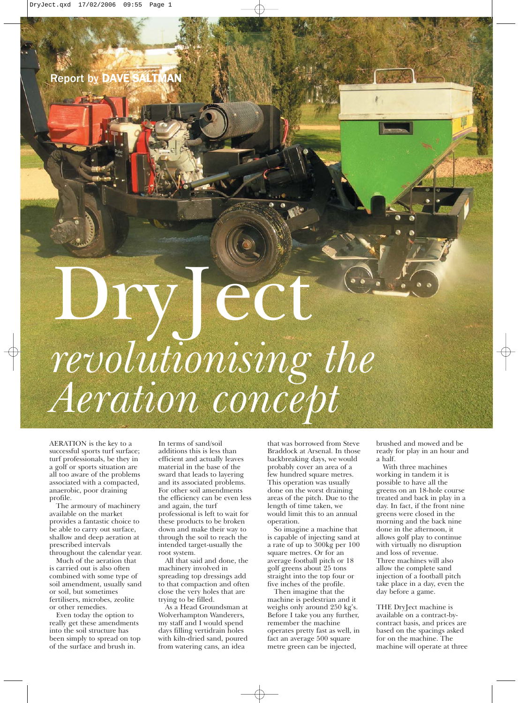## Proposition of the content of the content of the content of the content of the content of the content of the c<br>Jecture of the content of the content of the content of the content of the content of the content of the conten *revolutionising the Aeration concept*

AERATION is the key to a successful sports turf surface; turf professionals, be they in a golf or sports situation are all too aware of the problems associated with a compacted, anaerobic, poor draining profile.

The armoury of machinery available on the market provides a fantastic choice to be able to carry out surface, shallow and deep aeration at prescribed intervals throughout the calendar year.

Much of the aeration that is carried out is also often combined with some type of soil amendment, usually sand or soil, but sometimes fertilisers, microbes, zeolite or other remedies.

Even today the option to really get these amendments into the soil structure has been simply to spread on top of the surface and brush in.

In terms of sand/soil additions this is less than efficient and actually leaves material in the base of the sward that leads to layering and its associated problems. For other soil amendments the efficiency can be even less and again, the turf professional is left to wait for these products to be broken down and make their way to through the soil to reach the intended target-usually the root system.

All that said and done, the machinery involved in spreading top dressings add to that compaction and often close the very holes that are trying to be filled.

As a Head Groundsman at Wolverhampton Wanderers, my staff and I would spend days filling vertidrain holes with kiln-dried sand, poured from watering cans, an idea

that was borrowed from Steve Braddock at Arsenal. In those backbreaking days, we would probably cover an area of a few hundred square metres. This operation was usually done on the worst draining areas of the pitch. Due to the length of time taken, we would limit this to an annual operation.

So imagine a machine that is capable of injecting sand at a rate of up to 300kg per 100 square metres. Or for an average football pitch or 18 golf greens about 25 tons straight into the top four or five inches of the profile.

Then imagine that the machine is pedestrian and it weighs only around 250 kg's. Before I take you any further, remember the machine operates pretty fast as well, in fact an average 500 square metre green can be injected,

brushed and mowed and be ready for play in an hour and a half.

With three machines working in tandem it is possible to have all the greens on an 18-hole course treated and back in play in a day. In fact, if the front nine greens were closed in the morning and the back nine done in the afternoon, it allows golf play to continue with virtually no disruption and loss of revenue. Three machines will also allow the complete sand injection of a football pitch take place in a day, even the day before a game.

THE DryJect machine is available on a contract-bycontract basis, and prices are based on the spacings asked for on the machine. The machine will operate at three